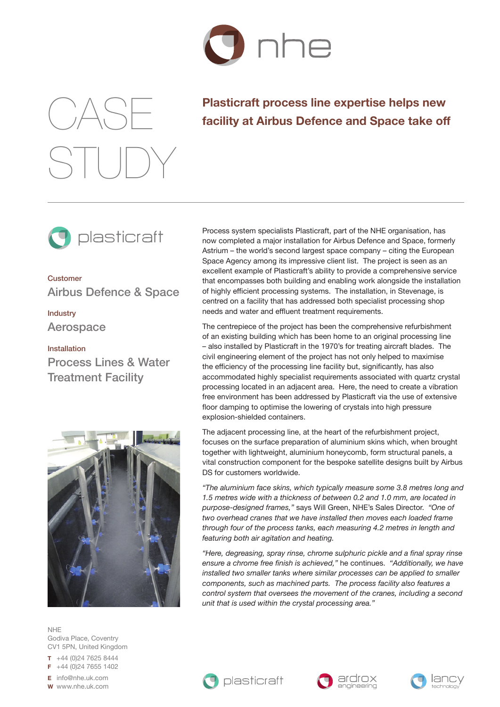

## CASE STUDY

## **Plasticraft process line expertise helps new facility at Airbus Defence and Space take off**



Customer Airbus Defence & Space

Industry Aerospace

Installation Process Lines & Water Treatment Facility



NHE Godiva Place, Coventry CV1 5PN, United Kingdom

**T** +44 (0)24 7625 8444 **F** +44 (0)24 7655 1402

**E** info@nhe.uk.com

**W** www.nhe.uk.com

Process system specialists Plasticraft, part of the NHE organisation, has now completed a major installation for Airbus Defence and Space, formerly Astrium – the world's second largest space company – citing the European Space Agency among its impressive client list. The project is seen as an excellent example of Plasticraft's ability to provide a comprehensive service that encompasses both building and enabling work alongside the installation of highly efficient processing systems. The installation, in Stevenage, is centred on a facility that has addressed both specialist processing shop needs and water and effluent treatment requirements.

The centrepiece of the project has been the comprehensive refurbishment of an existing building which has been home to an original processing line – also installed by Plasticraft in the 1970's for treating aircraft blades. The civil engineering element of the project has not only helped to maximise the efficiency of the processing line facility but, significantly, has also accommodated highly specialist requirements associated with quartz crystal processing located in an adjacent area. Here, the need to create a vibration free environment has been addressed by Plasticraft via the use of extensive floor damping to optimise the lowering of crystals into high pressure explosion-shielded containers.

The adjacent processing line, at the heart of the refurbishment project, focuses on the surface preparation of aluminium skins which, when brought together with lightweight, aluminium honeycomb, form structural panels, a vital construction component for the bespoke satellite designs built by Airbus DS for customers worldwide.

*"The aluminium face skins, which typically measure some 3.8 metres long and 1.5 metres wide with a thickness of between 0.2 and 1.0 mm, are located in purpose-designed frames,"* says Will Green, NHE's Sales Director. *"One of two overhead cranes that we have installed then moves each loaded frame through four of the process tanks, each measuring 4.2 metres in length and featuring both air agitation and heating.* 

*"Here, degreasing, spray rinse, chrome sulphuric pickle and a final spray rinse ensure a chrome free finish is achieved,"* he continues. *"Additionally, we have installed two smaller tanks where similar processes can be applied to smaller components, such as machined parts. The process facility also features a control system that oversees the movement of the cranes, including a second unit that is used within the crystal processing area."*